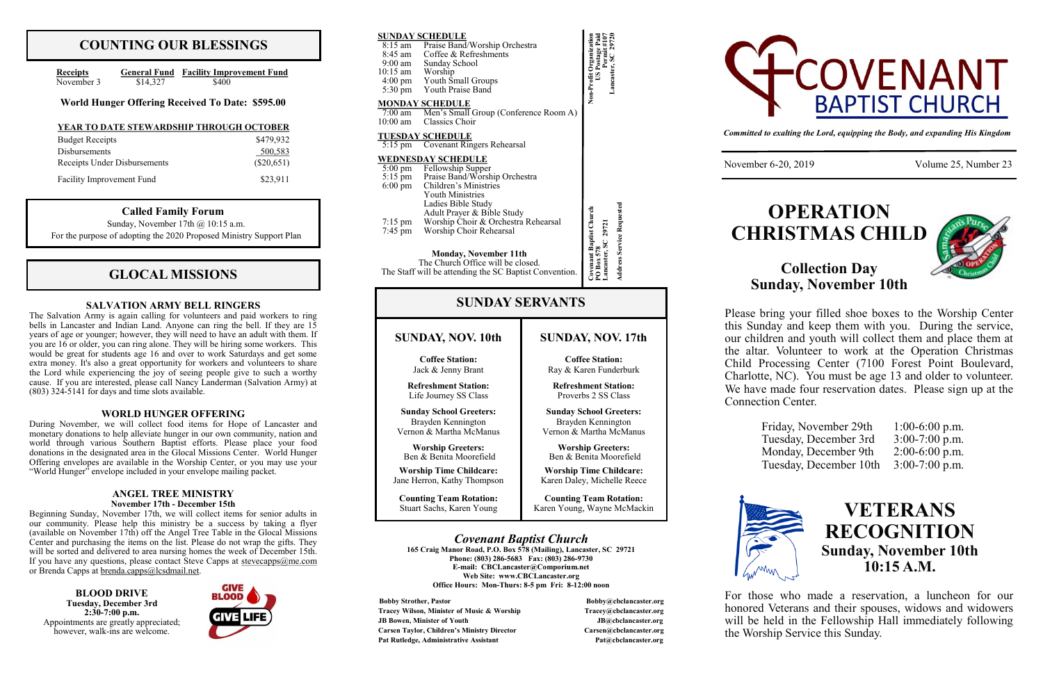## **COUNTING OUR BLESSINGS**

| <b>Receipts</b> |          | <b>General Fund</b> Facility Improvement Fund |
|-----------------|----------|-----------------------------------------------|
| November 3      | \$14,327 | \$400                                         |

## **GLOCAL MISSIONS**

#### **SALVATION ARMY BELL RINGERS**

**Phone: (803) 286-5683 Fax: (803) 286-9730 E-mail: CBCLancaster@Comporium.net Web Site: www.CBCLancaster.org Office Hours: Mon-Thurs: 8-5 pm Fri: 8-12:00 noon**

**Bobby Strother, Pastor Bobby According to Bobby According to Bobby According to Bobby According to Bobby According to Bobby According to Bobby According to Bobby According to Bobby According to Bobby According to Bobby Ac Tracey Wilson, Minister of Music & Worship Tracey@cbclancaster.org JB Bowen, Minister of Youth JB@cbclancaster.org Carsen Taylor, Children's Ministry Director Carsen@cbclancaster.org** Pat Rutledge, Administrative Assistant **Pat Acceleration** Pat *Rutledge, Administrative Assistant* 



| <b>SUNDAY SCHEDULE</b><br>Praise Band/Worship Orchestra<br>8:15 am<br>Coffee & Refreshments<br>8:45 am<br>9:00 am Sunday School<br>10:15 am Worship<br>4:00 pm Youth Small Groups<br>5:30 pm Youth Praise Band                                                                                                                 |                                                                                                                                                       | Non-Profit Organization<br>US Postage Pai<br>Lancaster, SC |                                                                                 |
|--------------------------------------------------------------------------------------------------------------------------------------------------------------------------------------------------------------------------------------------------------------------------------------------------------------------------------|-------------------------------------------------------------------------------------------------------------------------------------------------------|------------------------------------------------------------|---------------------------------------------------------------------------------|
| <b>MONDAY SCHEDULE</b><br>7:00 am Men's Small Group (Conference Room A)<br>Classics Choir                                                                                                                                                                                                                                      |                                                                                                                                                       |                                                            |                                                                                 |
| 10:00 am<br><b>TUESDAY SCHEDULE</b>                                                                                                                                                                                                                                                                                            |                                                                                                                                                       |                                                            |                                                                                 |
| 5:15 pm Covenant Ringers Rehearsal                                                                                                                                                                                                                                                                                             |                                                                                                                                                       |                                                            |                                                                                 |
| <b>WEDNESDAY SCHEDULE</b><br>5:00 pm Fellowship Supper<br>5:15 pm Praise Band/Worship Orchestra<br>Children's Ministries<br>$6:00 \text{ pm}$<br><b>Youth Ministries</b><br>Ladies Bible Study<br>Adult Prayer & Bible Study<br>Worship Choir & Orchestra Rehearsal<br>$7:15 \text{ pm}$<br>Worship Choir Rehearsal<br>7:45 pm |                                                                                                                                                       | <b>Address Service Requested</b>                           |                                                                                 |
|                                                                                                                                                                                                                                                                                                                                | <b>Monday, November 11th</b><br>The Church Office will be closed.<br>The Staff will be attending the SC Baptist Convention.<br><b>SUNDAY SERVANTS</b> |                                                            | Covenant Baptist Church<br>PO Box 578<br>Lancaster, SC 29721                    |
|                                                                                                                                                                                                                                                                                                                                |                                                                                                                                                       |                                                            |                                                                                 |
| SUNDAY, NOV. 10th                                                                                                                                                                                                                                                                                                              |                                                                                                                                                       |                                                            | SUNDAY, NOV. 17th                                                               |
| <b>Coffee Station:</b><br>Jack & Jenny Brant                                                                                                                                                                                                                                                                                   |                                                                                                                                                       |                                                            | <b>Coffee Station:</b><br>Ray & Karen Funderburk                                |
| <b>Refreshment Station:</b><br>Life Journey SS Class                                                                                                                                                                                                                                                                           |                                                                                                                                                       |                                                            | <b>Refreshment Station:</b><br>Proverbs 2 SS Class                              |
| <b>Sunday School Greeters:</b><br>Brayden Kennington<br>Vernon & Martha McManus                                                                                                                                                                                                                                                |                                                                                                                                                       |                                                            | <b>Sunday School Greeters:</b><br>Brayden Kennington<br>Vernon & Martha McManus |
| <b>Worship Greeters:</b><br>Ben & Benita Moorefield                                                                                                                                                                                                                                                                            |                                                                                                                                                       |                                                            | <b>Worship Greeters:</b><br>Ben & Benita Moorefield                             |
| <b>Worship Time Childcare:</b><br>Jane Herron, Kathy Thompson                                                                                                                                                                                                                                                                  |                                                                                                                                                       |                                                            | <b>Worship Time Childcare:</b><br>Karen Daley, Michelle Reece                   |

During November, we will collect food items for Hope of Lancaster and monetary donations to help alleviate hunger in our own community, nation and world through various Southern Baptist efforts. Please place your food donations in the designated area in the Glocal Missions Center. World Hunger Offering envelopes are available in the Worship Center, or you may use your "World Hunger" envelope included in your envelope mailing packet.

Beginning Sunday, November 17th, we will collect items for senior adults in our community. Please help this ministry be a success by taking a flyer (available on November 17th) off the Angel Tree Table in the Glocal Missions Center and purchasing the items on the list. Please do not wrap the gifts. They will be sorted and delivered to area nursing homes the week of December 15th. If you have any questions, please contact Steve Capps at  $\frac{\text{stevecapos}(a)}{m \cdot c \cdot c \cdot m}$ or Brenda Capps at [brenda.capps@lcsdmail.net.](mailto:brenda.capps@lcsdmail.net)

*Committed to exalting the Lord, equipping the Body, and expanding His Kingdom*

November 6-20, 2019 Volume 25, Number 23

Sunday, November 17th @ 10:15 a.m. For the purpose of adopting the 2020 Proposed Ministry Support Plan

The Salvation Army is again calling for volunteers and paid workers to ring bells in Lancaster and Indian Land. Anyone can ring the bell. If they are 15 years of age or younger; however, they will need to have an adult with them. If you are 16 or older, you can ring alone. They will be hiring some workers. This would be great for students age 16 and over to work Saturdays and get some extra money. It's also a great opportunity for workers and volunteers to share the Lord while experiencing the joy of seeing people give to such a worthy cause. If you are interested, please call Nancy Landerman (Salvation Army) at (803) 324-5141 for days and time slots available.

#### **WORLD HUNGER OFFERING**

#### **ANGEL TREE MINISTRY November 17th - December 15th**

**BLOOD DRIVE Tuesday, December 3rd 2:30-7:00 p.m.** Appointments are greatly appreciated; however, walk-ins are welcome.



#### **Called Family Forum**

#### **World Hunger Offering Received To Date: \$595.00**

#### **YEAR TO DATE STEWARDSHIP THROUGH OCTOBER**

| <b>Budget Receipts</b>       | \$479,932    |
|------------------------------|--------------|
| <b>Disbursements</b>         | 500,583      |
| Receipts Under Disbursements | $(\$20,651)$ |
| Facility Improvement Fund    | \$23,911     |

# **OPERATION CHRISTMAS CHILD**

# **Collection Day Sunday, November 10th**



Please bring your filled shoe boxes to the Worship Center this Sunday and keep them with you. During the service, our children and youth will collect them and place them at the altar. Volunteer to work at the Operation Christmas Child Processing Center (7100 Forest Point Boulevard, Charlotte, NC). You must be age 13 and older to volunteer. We have made four reservation dates. Please sign up at the Connection Center.



| Friday, November 29th  | $1:00-6:00$ p.m. |
|------------------------|------------------|
| Tuesday, December 3rd  | $3:00-7:00$ p.m. |
| Monday, December 9th   | $2:00-6:00$ p.m. |
| Tuesday, December 10th | $3:00-7:00$ p.m. |
|                        |                  |



For those who made a reservation, a luncheon for our honored Veterans and their spouses, widows and widowers will be held in the Fellowship Hall immediately following the Worship Service this Sunday.